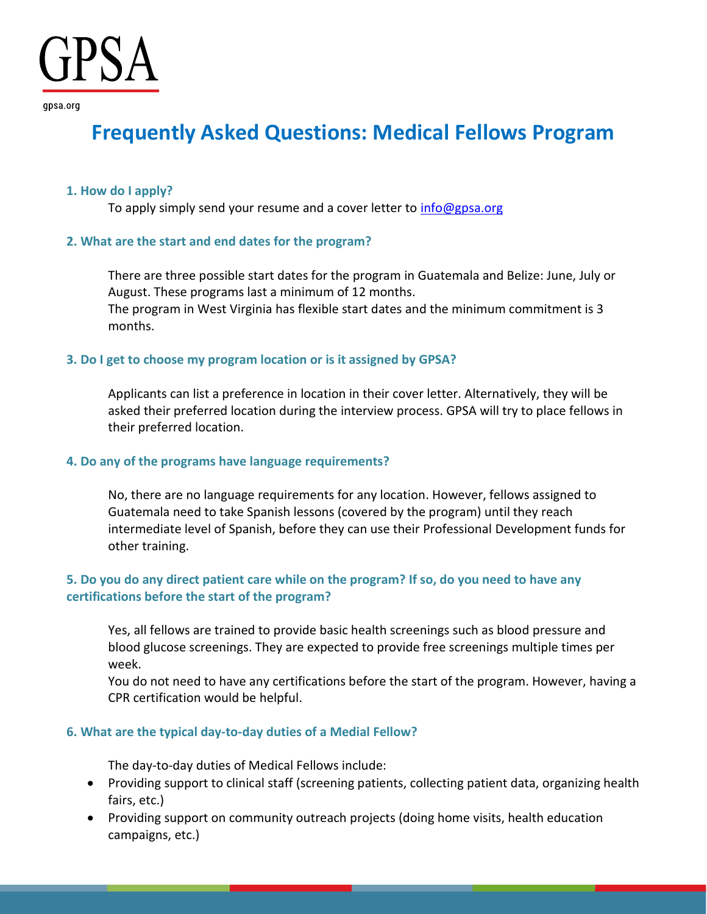qpsa.org

# **Frequently Asked Questions: Medical Fellows Program**

# **1. How do I apply?**

To apply simply send your resume and a cover letter to  $info@gpsa.org$ 

# **2. What are the start and end dates for the program?**

There are three possible start dates for the program in Guatemala and Belize: June, July or August. These programs last a minimum of 12 months. The program in West Virginia has flexible start dates and the minimum commitment is 3 months.

# **3. Do I get to choose my program location or is it assigned by GPSA?**

Applicants can list a preference in location in their cover letter. Alternatively, they will be asked their preferred location during the interview process. GPSA will try to place fellows in their preferred location.

# **4. Do any of the programs have language requirements?**

No, there are no language requirements for any location. However, fellows assigned to Guatemala need to take Spanish lessons (covered by the program) until they reach intermediate level of Spanish, before they can use their Professional Development funds for other training.

# **5. Do you do any direct patient care while on the program? If so, do you need to have any certifications before the start of the program?**

Yes, all fellows are trained to provide basic health screenings such as blood pressure and blood glucose screenings. They are expected to provide free screenings multiple times per week.

You do not need to have any certifications before the start of the program. However, having a CPR certification would be helpful.

# **6. What are the typical day-to-day duties of a Medial Fellow?**

The day-to-day duties of Medical Fellows include:

- Providing support to clinical staff (screening patients, collecting patient data, organizing health fairs, etc.)
- Providing support on community outreach projects (doing home visits, health education campaigns, etc.)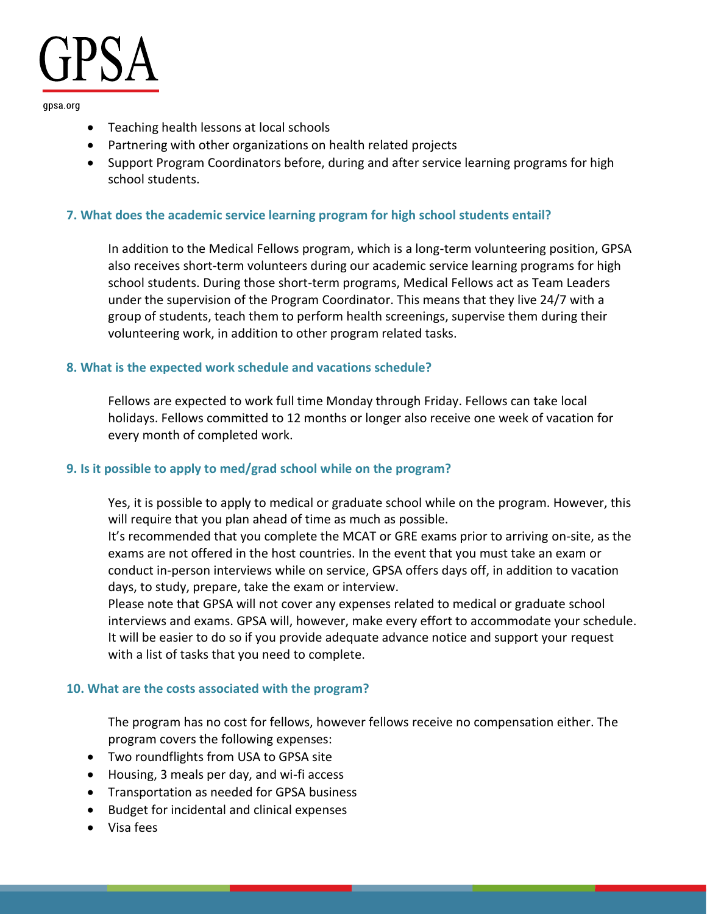#### qpsa.org

- Teaching health lessons at local schools
- Partnering with other organizations on health related projects
- Support Program Coordinators before, during and after service learning programs for high school students.

# **7. What does the academic service learning program for high school students entail?**

In addition to the Medical Fellows program, which is a long-term volunteering position, GPSA also receives short-term volunteers during our academic service learning programs for high school students. During those short-term programs, Medical Fellows act as Team Leaders under the supervision of the Program Coordinator. This means that they live 24/7 with a group of students, teach them to perform health screenings, supervise them during their volunteering work, in addition to other program related tasks.

# **8. What is the expected work schedule and vacations schedule?**

Fellows are expected to work full time Monday through Friday. Fellows can take local holidays. Fellows committed to 12 months or longer also receive one week of vacation for every month of completed work.

# **9. Is it possible to apply to med/grad school while on the program?**

Yes, it is possible to apply to medical or graduate school while on the program. However, this will require that you plan ahead of time as much as possible.

It's recommended that you complete the MCAT or GRE exams prior to arriving on-site, as the exams are not offered in the host countries. In the event that you must take an exam or conduct in-person interviews while on service, GPSA offers days off, in addition to vacation days, to study, prepare, take the exam or interview.

Please note that GPSA will not cover any expenses related to medical or graduate school interviews and exams. GPSA will, however, make every effort to accommodate your schedule. It will be easier to do so if you provide adequate advance notice and support your request with a list of tasks that you need to complete.

# **10. What are the costs associated with the program?**

The program has no cost for fellows, however fellows receive no compensation either. The program covers the following expenses:

- Two roundflights from USA to GPSA site
- Housing, 3 meals per day, and wi-fi access
- Transportation as needed for GPSA business
- Budget for incidental and clinical expenses
- Visa fees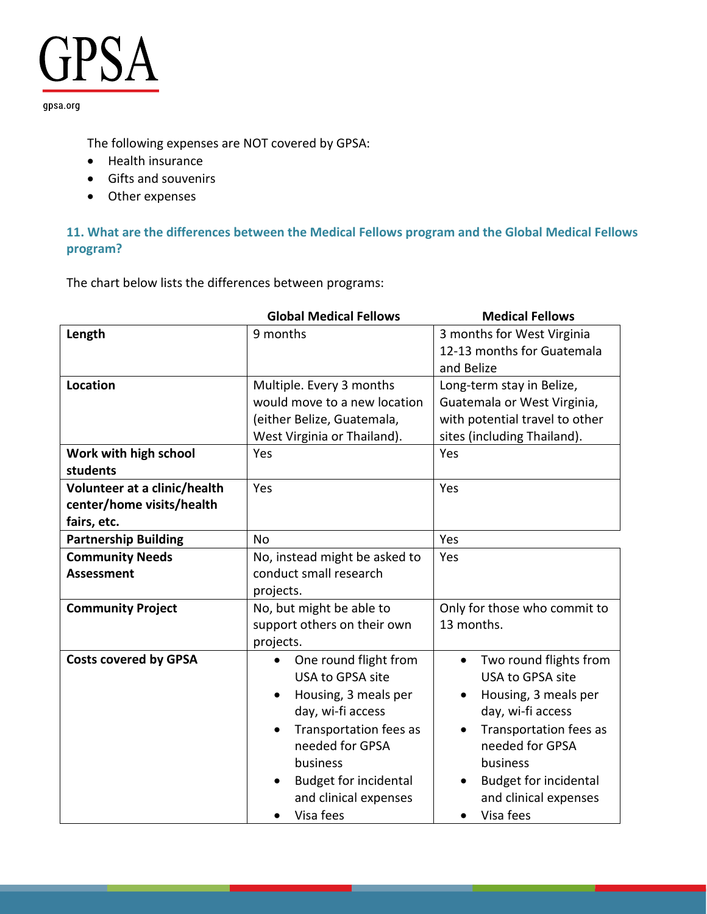gpsa.org

The following expenses are NOT covered by GPSA:

- Health insurance
- Gifts and souvenirs
- Other expenses

# **11. What are the differences between the Medical Fellows program and the Global Medical Fellows program?**

The chart below lists the differences between programs:

|                                   | <b>Global Medical Fellows</b> | <b>Medical Fellows</b>                    |
|-----------------------------------|-------------------------------|-------------------------------------------|
| Length                            | 9 months                      | 3 months for West Virginia                |
|                                   |                               | 12-13 months for Guatemala                |
|                                   |                               | and Belize                                |
| <b>Location</b>                   | Multiple. Every 3 months      | Long-term stay in Belize,                 |
|                                   | would move to a new location  | Guatemala or West Virginia,               |
|                                   | (either Belize, Guatemala,    | with potential travel to other            |
|                                   | West Virginia or Thailand).   | sites (including Thailand).               |
| Work with high school<br>students | Yes                           | Yes                                       |
| Volunteer at a clinic/health      | Yes                           | Yes                                       |
| center/home visits/health         |                               |                                           |
| fairs, etc.                       |                               |                                           |
| <b>Partnership Building</b>       | <b>No</b>                     | Yes                                       |
| <b>Community Needs</b>            | No, instead might be asked to | Yes                                       |
| <b>Assessment</b>                 | conduct small research        |                                           |
|                                   | projects.                     |                                           |
| <b>Community Project</b>          | No, but might be able to      | Only for those who commit to              |
|                                   | support others on their own   | 13 months.                                |
|                                   | projects.                     |                                           |
| <b>Costs covered by GPSA</b>      | One round flight from         | Two round flights from<br>$\bullet$       |
|                                   | USA to GPSA site              | USA to GPSA site                          |
|                                   | Housing, 3 meals per          | Housing, 3 meals per                      |
|                                   | day, wi-fi access             | day, wi-fi access                         |
|                                   | Transportation fees as        | Transportation fees as                    |
|                                   | needed for GPSA               | needed for GPSA                           |
|                                   | business                      | business                                  |
|                                   | <b>Budget for incidental</b>  | <b>Budget for incidental</b><br>$\bullet$ |
|                                   | and clinical expenses         | and clinical expenses                     |
|                                   | Visa fees                     | Visa fees<br>$\bullet$                    |